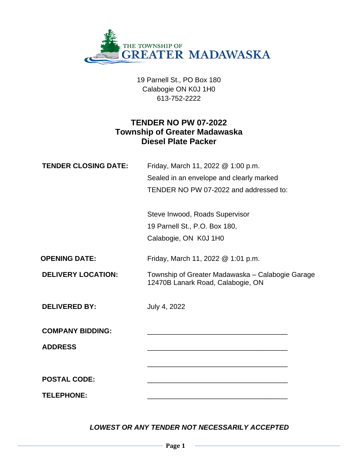

19 Parnell St., PO Box 180 Calabogie ON K0J 1H0 613-752-2222

# **TENDER NO PW 07-2022 Township of Greater Madawaska Diesel Plate Packer**

| <b>TENDER CLOSING DATE:</b> | Friday, March 11, 2022 @ 1:00 p.m.<br>Sealed in an envelope and clearly marked<br>TENDER NO PW 07-2022 and addressed to: |
|-----------------------------|--------------------------------------------------------------------------------------------------------------------------|
|                             | Steve Inwood, Roads Supervisor<br>19 Parnell St., P.O. Box 180,<br>Calabogie, ON K0J 1H0                                 |
| <b>OPENING DATE:</b>        | Friday, March 11, 2022 @ 1:01 p.m.                                                                                       |
| <b>DELIVERY LOCATION:</b>   | Township of Greater Madawaska - Calabogie Garage<br>12470B Lanark Road, Calabogie, ON                                    |
| <b>DELIVERED BY:</b>        | July 4, 2022                                                                                                             |
| <b>COMPANY BIDDING:</b>     |                                                                                                                          |
| <b>ADDRESS</b>              |                                                                                                                          |
|                             |                                                                                                                          |
| <b>POSTAL CODE:</b>         |                                                                                                                          |
| <b>TELEPHONE:</b>           |                                                                                                                          |

*LOWEST OR ANY TENDER NOT NECESSARILY ACCEPTED*

**Page 1**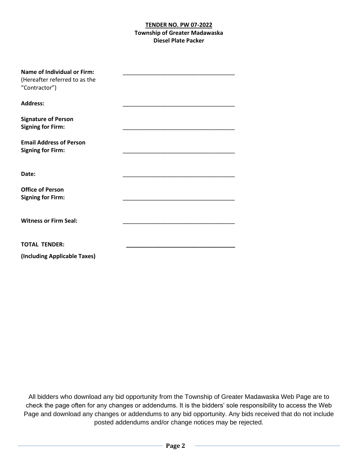| <b>Name of Individual or Firm:</b><br>(Hereafter referred to as the<br>"Contractor") |  |
|--------------------------------------------------------------------------------------|--|
| <b>Address:</b>                                                                      |  |
| <b>Signature of Person</b><br><b>Signing for Firm:</b>                               |  |
| <b>Email Address of Person</b><br><b>Signing for Firm:</b>                           |  |
| Date:                                                                                |  |
| <b>Office of Person</b><br><b>Signing for Firm:</b>                                  |  |
| <b>Witness or Firm Seal:</b>                                                         |  |
| <b>TOTAL TENDER:</b>                                                                 |  |
| (Including Applicable Taxes)                                                         |  |

All bidders who download any bid opportunity from the Township of Greater Madawaska Web Page are to check the page often for any changes or addendums. It is the bidders' sole responsibility to access the Web Page and download any changes or addendums to any bid opportunity. Any bids received that do not include posted addendums and/or change notices may be rejected.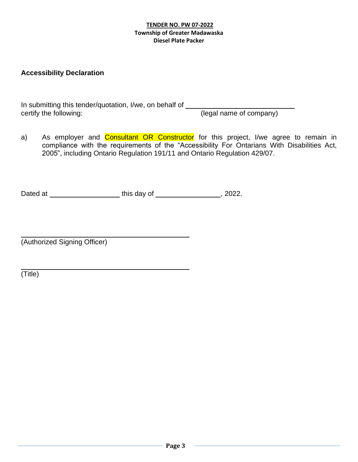## **Accessibility Declaration**

In submitting this tender/quotation, I/we, on behalf of certify the following: (legal name of company)

a) As employer and **Consultant OR Constructor** for this project, I/we agree to remain in compliance with the requirements of the "Accessibility For Ontarians With Disabilities Act, 2005", including Ontario Regulation 191/11 and Ontario Regulation 429/07.

Dated at \_\_\_\_\_\_\_\_\_\_\_\_\_\_\_\_\_\_\_\_\_\_\_\_this day of \_\_\_\_\_\_\_\_\_\_\_\_\_\_\_\_\_\_\_\_\_, 2022.

(Authorized Signing Officer)

(Title)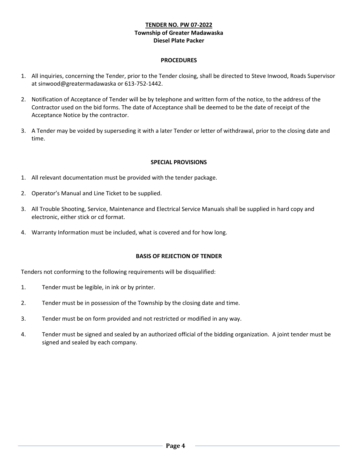#### **PROCEDURES**

- 1. All inquiries, concerning the Tender, prior to the Tender closing, shall be directed to Steve Inwood, Roads Supervisor at sinwood@greatermadawaska or 613-752-1442.
- 2. Notification of Acceptance of Tender will be by telephone and written form of the notice, to the address of the Contractor used on the bid forms. The date of Acceptance shall be deemed to be the date of receipt of the Acceptance Notice by the contractor.
- 3. A Tender may be voided by superseding it with a later Tender or letter of withdrawal, prior to the closing date and time.

#### **SPECIAL PROVISIONS**

- 1. All relevant documentation must be provided with the tender package.
- 2. Operator's Manual and Line Ticket to be supplied.
- 3. All Trouble Shooting, Service, Maintenance and Electrical Service Manuals shall be supplied in hard copy and electronic, either stick or cd format.
- 4. Warranty Information must be included, what is covered and for how long.

#### **BASIS OF REJECTION OF TENDER**

Tenders not conforming to the following requirements will be disqualified:

- 1. Tender must be legible, in ink or by printer.
- 2. Tender must be in possession of the Township by the closing date and time.
- 3. Tender must be on form provided and not restricted or modified in any way.
- 4. Tender must be signed and sealed by an authorized official of the bidding organization. A joint tender must be signed and sealed by each company.